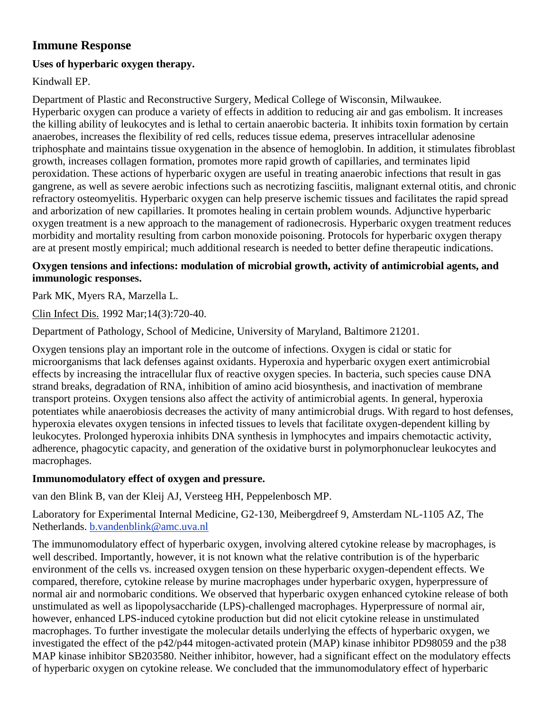# **Immune Response**

## **Uses of hyperbaric oxygen therapy.**

Kindwall EP.

Department of Plastic and Reconstructive Surgery, Medical College of Wisconsin, Milwaukee. Hyperbaric oxygen can produce a variety of effects in addition to reducing air and gas embolism. It increases the killing ability of leukocytes and is lethal to certain anaerobic bacteria. It inhibits toxin formation by certain anaerobes, increases the flexibility of red cells, reduces tissue edema, preserves intracellular adenosine triphosphate and maintains tissue oxygenation in the absence of hemoglobin. In addition, it stimulates fibroblast growth, increases collagen formation, promotes more rapid growth of capillaries, and terminates lipid peroxidation. These actions of hyperbaric oxygen are useful in treating anaerobic infections that result in gas gangrene, as well as severe aerobic infections such as necrotizing fasciitis, malignant external otitis, and chronic refractory osteomyelitis. Hyperbaric oxygen can help preserve ischemic tissues and facilitates the rapid spread and arborization of new capillaries. It promotes healing in certain problem wounds. Adjunctive hyperbaric oxygen treatment is a new approach to the management of radionecrosis. Hyperbaric oxygen treatment reduces morbidity and mortality resulting from carbon monoxide poisoning. Protocols for hyperbaric oxygen therapy are at present mostly empirical; much additional research is needed to better define therapeutic indications.

### **Oxygen tensions and infections: modulation of microbial growth, activity of antimicrobial agents, and immunologic responses.**

[Park MK,](http://www.ncbi.nlm.nih.gov/entrez/query.fcgi?db=pubmed&cmd=Search&itool=pubmed_AbstractPlus&term=%22Park+MK%22%5BAuthor%5D) [Myers RA,](http://www.ncbi.nlm.nih.gov/entrez/query.fcgi?db=pubmed&cmd=Search&itool=pubmed_AbstractPlus&term=%22Myers+RA%22%5BAuthor%5D) [Marzella L.](http://www.ncbi.nlm.nih.gov/entrez/query.fcgi?db=pubmed&cmd=Search&itool=pubmed_AbstractPlus&term=%22Marzella+L%22%5BAuthor%5D)

[Clin Infect Dis.](javascript:AL_get(this,%20) 1992 Mar;14(3):720-40.

Department of Pathology, School of Medicine, University of Maryland, Baltimore 21201.

Oxygen tensions play an important role in the outcome of infections. Oxygen is cidal or static for microorganisms that lack defenses against oxidants. Hyperoxia and hyperbaric oxygen exert antimicrobial effects by increasing the intracellular flux of reactive oxygen species. In bacteria, such species cause DNA strand breaks, degradation of RNA, inhibition of amino acid biosynthesis, and inactivation of membrane transport proteins. Oxygen tensions also affect the activity of antimicrobial agents. In general, hyperoxia potentiates while anaerobiosis decreases the activity of many antimicrobial drugs. With regard to host defenses, hyperoxia elevates oxygen tensions in infected tissues to levels that facilitate oxygen-dependent killing by leukocytes. Prolonged hyperoxia inhibits DNA synthesis in lymphocytes and impairs chemotactic activity, adherence, phagocytic capacity, and generation of the oxidative burst in polymorphonuclear leukocytes and macrophages.

### **Immunomodulatory effect of oxygen and pressure.**

van den Blink B, van der Kleij AJ, Versteeg HH, Peppelenbosch MP.

Laboratory for Experimental Internal Medicine, G2-130, Meibergdreef 9, Amsterdam NL-1105 AZ, The Netherlands. [b.vandenblink@amc.uva.nl](mailto:b.vandenblink@amc.uva.nl)

The immunomodulatory effect of hyperbaric oxygen, involving altered cytokine release by macrophages, is well described. Importantly, however, it is not known what the relative contribution is of the hyperbaric environment of the cells vs. increased oxygen tension on these hyperbaric oxygen-dependent effects. We compared, therefore, cytokine release by murine macrophages under hyperbaric oxygen, hyperpressure of normal air and normobaric conditions. We observed that hyperbaric oxygen enhanced cytokine release of both unstimulated as well as lipopolysaccharide (LPS)-challenged macrophages. Hyperpressure of normal air, however, enhanced LPS-induced cytokine production but did not elicit cytokine release in unstimulated macrophages. To further investigate the molecular details underlying the effects of hyperbaric oxygen, we investigated the effect of the p42/p44 mitogen-activated protein (MAP) kinase inhibitor PD98059 and the p38 MAP kinase inhibitor SB203580. Neither inhibitor, however, had a significant effect on the modulatory effects of hyperbaric oxygen on cytokine release. We concluded that the immunomodulatory effect of hyperbaric